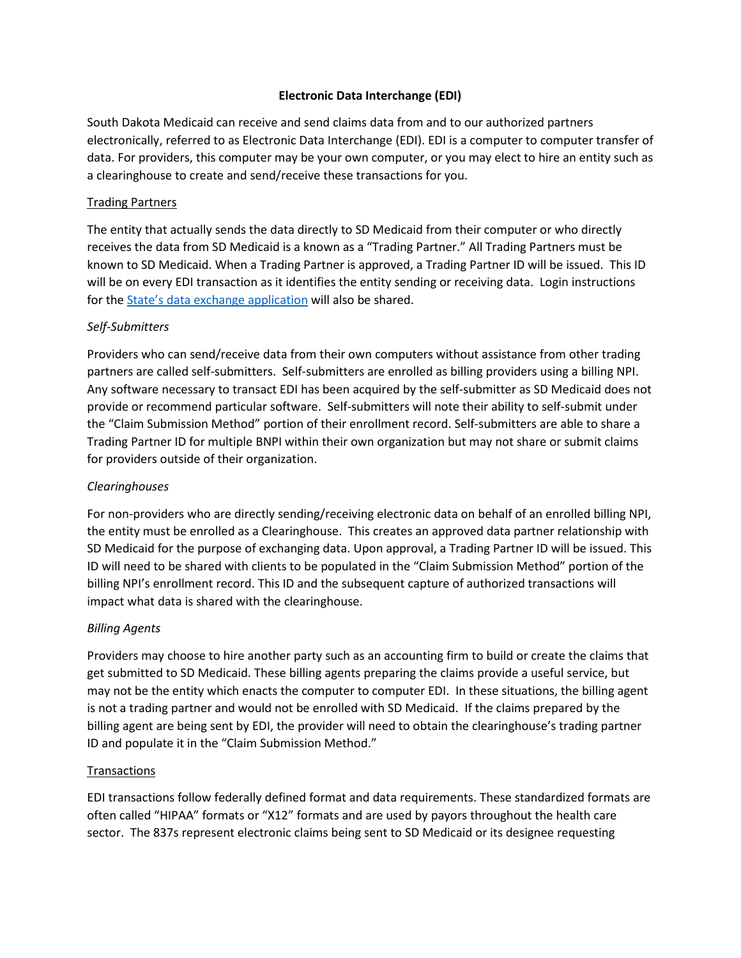## **Electronic Data Interchange (EDI)**

South Dakota Medicaid can receive and send claims data from and to our authorized partners electronically, referred to as Electronic Data Interchange (EDI). EDI is a computer to computer transfer of data. For providers, this computer may be your own computer, or you may elect to hire an entity such as a clearinghouse to create and send/receive these transactions for you.

## Trading Partners

The entity that actually sends the data directly to SD Medicaid from their computer or who directly receives the data from SD Medicaid is a known as a "Trading Partner." All Trading Partners must be known to SD Medicaid. When a Trading Partner is approved, a Trading Partner ID will be issued. This ID will be on every EDI transaction as it identifies the entity sending or receiving data. Login instructions for the [State's data exchange application](https://dss.sd.gov/docs/medicaid/providers/billingmanuals/Launchpad.pdf) will also be shared.

# *Self-Submitters*

Providers who can send/receive data from their own computers without assistance from other trading partners are called self-submitters. Self-submitters are enrolled as billing providers using a billing NPI. Any software necessary to transact EDI has been acquired by the self-submitter as SD Medicaid does not provide or recommend particular software. Self-submitters will note their ability to self-submit under the "Claim Submission Method" portion of their enrollment record. Self-submitters are able to share a Trading Partner ID for multiple BNPI within their own organization but may not share or submit claims for providers outside of their organization.

## *Clearinghouses*

For non-providers who are directly sending/receiving electronic data on behalf of an enrolled billing NPI, the entity must be enrolled as a Clearinghouse. This creates an approved data partner relationship with SD Medicaid for the purpose of exchanging data. Upon approval, a Trading Partner ID will be issued. This ID will need to be shared with clients to be populated in the "Claim Submission Method" portion of the billing NPI's enrollment record. This ID and the subsequent capture of authorized transactions will impact what data is shared with the clearinghouse.

### *Billing Agents*

Providers may choose to hire another party such as an accounting firm to build or create the claims that get submitted to SD Medicaid. These billing agents preparing the claims provide a useful service, but may not be the entity which enacts the computer to computer EDI. In these situations, the billing agent is not a trading partner and would not be enrolled with SD Medicaid. If the claims prepared by the billing agent are being sent by EDI, the provider will need to obtain the clearinghouse's trading partner ID and populate it in the "Claim Submission Method."

### Transactions

EDI transactions follow federally defined format and data requirements. These standardized formats are often called "HIPAA" formats or "X12" formats and are used by payors throughout the health care sector. The 837s represent electronic claims being sent to SD Medicaid or its designee requesting